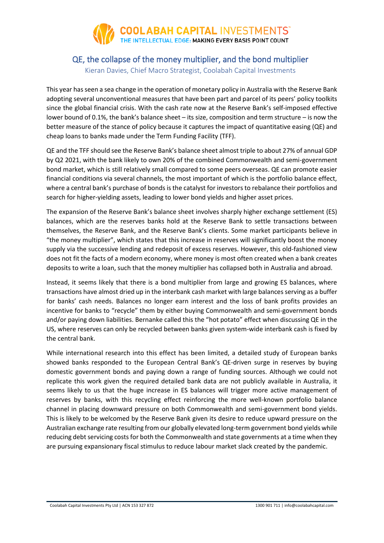

### QE, the collapse of the money multiplier, and the bond multiplier Kieran Davies, Chief Macro Strategist, Coolabah Capital Investments

This year has seen a sea change in the operation of monetary policy in Australia with the Reserve Bank adopting several unconventional measures that have been part and parcel of its peers' policy toolkits since the global financial crisis. With the cash rate now at the Reserve Bank's self-imposed effective lower bound of 0.1%, the bank's balance sheet – its size, composition and term structure – is now the better measure of the stance of policy because it captures the impact of quantitative easing (QE) and cheap loans to banks made under the Term Funding Facility (TFF).

QE and the TFF should see the Reserve Bank's balance sheet almost triple to about 27% of annual GDP by Q2 2021, with the bank likely to own 20% of the combined Commonwealth and semi-government bond market, which is still relatively small compared to some peers overseas. QE can promote easier financial conditions via several channels, the most important of which is the portfolio balance effect, where a central bank's purchase of bonds is the catalyst for investors to rebalance their portfolios and search for higher-yielding assets, leading to lower bond yields and higher asset prices.

The expansion of the Reserve Bank's balance sheet involves sharply higher exchange settlement (ES) balances, which are the reserves banks hold at the Reserve Bank to settle transactions between themselves, the Reserve Bank, and the Reserve Bank's clients. Some market participants believe in "the money multiplier", which states that this increase in reserves will significantly boost the money supply via the successive lending and redeposit of excess reserves. However, this old-fashioned view does not fit the facts of a modern economy, where money is most often created when a bank creates deposits to write a loan, such that the money multiplier has collapsed both in Australia and abroad.

Instead, it seems likely that there is a bond multiplier from large and growing ES balances, where transactions have almost dried up in the interbank cash market with large balances serving as a buffer for banks' cash needs. Balances no longer earn interest and the loss of bank profits provides an incentive for banks to "recycle" them by either buying Commonwealth and semi-government bonds and/or paying down liabilities. Bernanke called this the "hot potato" effect when discussing QE in the US, where reserves can only be recycled between banks given system-wide interbank cash is fixed by the central bank.

While international research into this effect has been limited, a detailed study of European banks showed banks responded to the European Central Bank's QE-driven surge in reserves by buying domestic government bonds and paying down a range of funding sources. Although we could not replicate this work given the required detailed bank data are not publicly available in Australia, it seems likely to us that the huge increase in ES balances will trigger more active management of reserves by banks, with this recycling effect reinforcing the more well-known portfolio balance channel in placing downward pressure on both Commonwealth and semi-government bond yields. This is likely to be welcomed by the Reserve Bank given its desire to reduce upward pressure on the Australian exchange rate resulting from our globally elevated long-term government bond yields while reducing debt servicing costs for both the Commonwealth and state governments at a time when they are pursuing expansionary fiscal stimulus to reduce labour market slack created by the pandemic.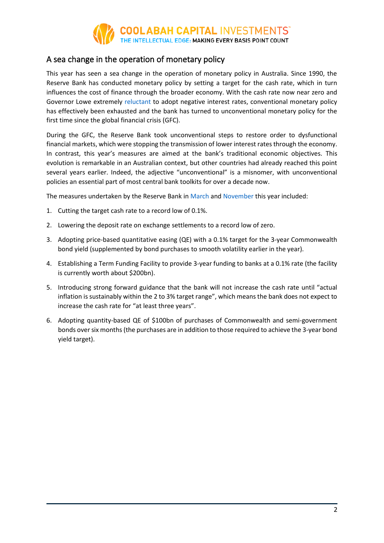

## A sea change in the operation of monetary policy

This year has seen a sea change in the operation of monetary policy in Australia. Since 1990, the Reserve Bank has conducted monetary policy by setting a target for the cash rate, which in turn influences the cost of finance through the broader economy. With the cash rate now near zero and Governor Lowe extremely [reluctant](https://webcast.boardroom.media/player/reserve-bank-of-australia/20201103/NaN5fa0d42499dc7700190d8473) to adopt negative interest rates, conventional monetary policy has effectively been exhausted and the bank has turned to unconventional monetary policy for the first time since the global financial crisis (GFC).

During the GFC, the Reserve Bank took unconventional steps to restore order to dysfunctional financial markets, which were stopping the transmission of lower interest rates through the economy. In contrast, this year's measures are aimed at the bank's traditional economic objectives. This evolution is remarkable in an Australian context, but other countries had already reached this point several years earlier. Indeed, the adjective "unconventional" is a misnomer, with unconventional policies an essential part of most central bank toolkits for over a decade now.

The measures undertaken by the Reserve Bank in [March](https://rba.gov.au/media-releases/2020/mr-20-08.html) and [November](https://rba.gov.au/media-releases/2020/mr-20-28.html) this year included:

- 1. Cutting the target cash rate to a record low of 0.1%.
- 2. Lowering the deposit rate on exchange settlements to a record low of zero.
- 3. Adopting price-based quantitative easing (QE) with a 0.1% target for the 3-year Commonwealth bond yield (supplemented by bond purchases to smooth volatility earlier in the year).
- 4. Establishing a Term Funding Facility to provide 3-year funding to banks at a 0.1% rate (the facility is currently worth about \$200bn).
- 5. Introducing strong forward guidance that the bank will not increase the cash rate until "actual inflation is sustainably within the 2 to 3% target range", which means the bank does not expect to increase the cash rate for "at least three years".
- 6. Adopting quantity-based QE of \$100bn of purchases of Commonwealth and semi-government bonds over six months(the purchases are in addition to those required to achieve the 3-year bond yield target).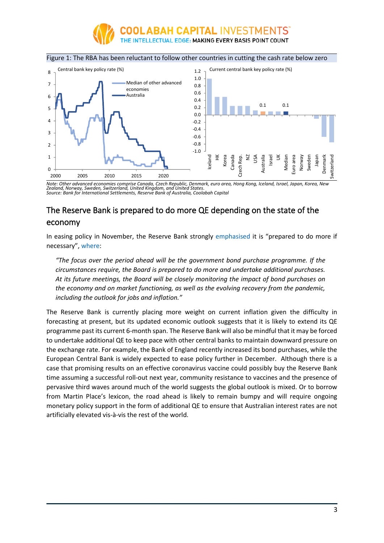



### Figure 1: The RBA has been reluctant to follow other countries in cutting the cash rate below zero

*Note: Other advanced economies comprise Canada, Czech Republic, Denmark, euro area, Hong Kong, Iceland, Israel, Japan, Korea, New Zealand, Norway, Sweden, Switzerland, United Kingdom, and United States. Source: Bank for International Settlements, Reserve Bank of Australia, Coolabah Capital* 

# The Reserve Bank is prepared to do more QE depending on the state of the economy

In easing policy in November, the Reserve Bank strongly [emphasised](https://rba.gov.au/media-releases/2020/mr-20-28.html) it is "prepared to do more if necessary", [where:](https://rba.gov.au/publications/smp/2020/nov/pdf/statement-on-monetary-policy-2020-11.pdf)

*"The focus over the period ahead will be the government bond purchase programme. If the circumstances require, the Board is prepared to do more and undertake additional purchases. At its future meetings, the Board will be closely monitoring the impact of bond purchases on the economy and on market functioning, as well as the evolving recovery from the pandemic, including the outlook for jobs and inflation."*

The Reserve Bank is currently placing more weight on current inflation given the difficulty in forecasting at present, but its updated economic outlook suggests that it is likely to extend its QE programme past its current 6-month span. The Reserve Bank will also be mindful that it may be forced to undertake additional QE to keep pace with other central banks to maintain downward pressure on the exchange rate. For example, the Bank of England recently increased its bond purchases, while the European Central Bank is widely expected to ease policy further in December. Although there is a case that promising results on an effective coronavirus vaccine could possibly buy the Reserve Bank time assuming a successful roll-out next year, community resistance to vaccines and the presence of pervasive third waves around much of the world suggests the global outlook is mixed. Or to borrow from Martin Place's lexicon, the road ahead is likely to remain bumpy and will require ongoing monetary policy support in the form of additional QE to ensure that Australian interest rates are not artificially elevated vis-à-vis the rest of the world.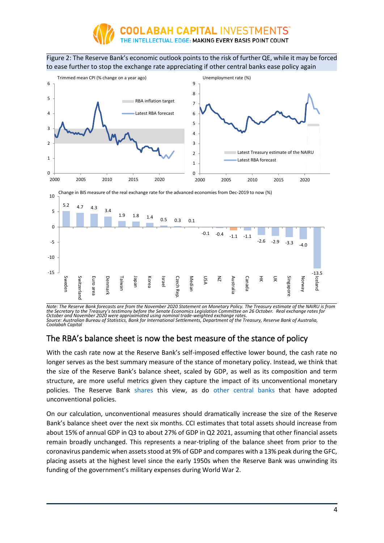

Figure 2: The Reserve Bank's economic outlook points to the risk of further QE, while it may be forced to ease further to stop the exchange rate appreciating if other central banks ease policy again



Note: The Reserve Bank forecasts are from the November 2020 Statement on Monetary Policy. The Treasury estimate of the NAIRU is from<br>the Secretary to the Treasury's testimony before the Senate Economics Legislation Committ October and November 2020 were approximated using nominal trade-weighted exchange rates.<br>Source: Australian Bureau of Statistics, Bank for International Settlements, Department of the Treasury, Reserve Bank of Australia,<br>C

## The RBA's balance sheet is now the best measure of the stance of policy

With the cash rate now at the Reserve Bank's self-imposed effective lower bound, the cash rate no longer serves as the best summary measure of the stance of monetary policy. Instead, we think that the size of the Reserve Bank's balance sheet, scaled by GDP, as well as its composition and term structure, are more useful metrics given they capture the impact of its unconventional monetary policies. The Reserve Bank [shares](https://rba.gov.au/speeches/2020/sp-ag-2020-10-20.html) this view, as do [other central banks](https://www.bis.org/publ/cgfs63.htm) that have adopted unconventional policies.

On our calculation, unconventional measures should dramatically increase the size of the Reserve Bank's balance sheet over the next six months. CCI estimates that total assets should increase from about 15% of annual GDP in Q3 to about 27% of GDP in Q2 2021, assuming that other financial assets remain broadly unchanged. This represents a near-tripling of the balance sheet from prior to the coronavirus pandemic when assets stood at 9% of GDP and compares with a 13% peak during the GFC, placing assets at the highest level since the early 1950s when the Reserve Bank was unwinding its funding of the government's military expenses during World War 2.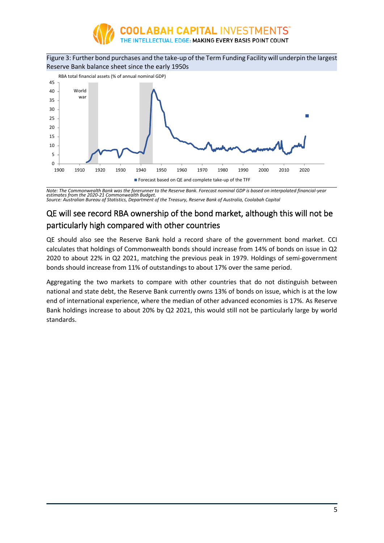

Figure 3: Further bond purchases and the take-up of the Term Funding Facility will underpin the largest Reserve Bank balance sheet since the early 1950s



*Note: The Commonwealth Bank was the forerunner to the Reserve Bank. Forecast nominal GDP is based on interpolated financial-year estimates from the 2020-21 Commonwealth Budget. Source: Australian Bureau of Statistics, Department of the Treasury, Reserve Bank of Australia, Coolabah Capital* 

# QE will see record RBA ownership of the bond market, although this will not be particularly high compared with other countries

QE should also see the Reserve Bank hold a record share of the government bond market. CCI calculates that holdings of Commonwealth bonds should increase from 14% of bonds on issue in Q2 2020 to about 22% in Q2 2021, matching the previous peak in 1979. Holdings of semi-government bonds should increase from 11% of outstandings to about 17% over the same period.

Aggregating the two markets to compare with other countries that do not distinguish between national and state debt, the Reserve Bank currently owns 13% of bonds on issue, which is at the low end of international experience, where the median of other advanced economies is 17%. As Reserve Bank holdings increase to about 20% by Q2 2021, this would still not be particularly large by world standards.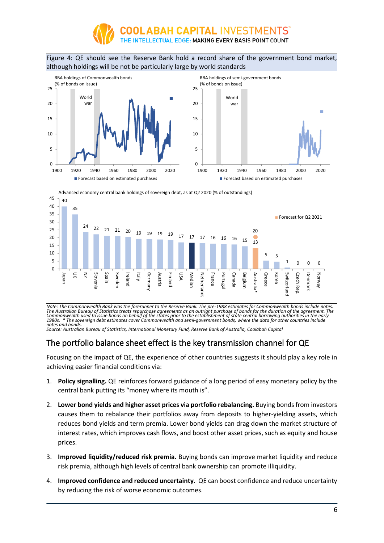

#### Figure 4: QE should see the Reserve Bank hold a record share of the government bond market, although holdings will be not be particularly large by world standards



Advanced economy central bank holdings of sovereign debt, as at Q2 2020 (% of outstandings)



Note: The Commonwealth Bank was the forerunner to the Reserve Bank. The pre-1988 estimates for Commonwealth bonds include notes.<br>The Australian Bureau of Statistics treats repurchase agreements as an outright purchase of b Commonwealth used to issue bonds on behalf of the states prior to the establishment of state central borrowing authorities in the early<br>1980s. \* The sovereign debt estimates cover Commonwealth and semi-government bonds, w

*notes and bonds. Source: Australian Bureau of Statistics, International Monetary Fund, Reserve Bank of Australia, Coolabah Capital*

## The portfolio balance sheet effect is the key transmission channel for QE

Focusing on the impact of QE, the experience of other countries suggests it should play a key role in achieving easier financial conditions via:

- 1. **Policy signalling.** QE reinforces forward guidance of a long period of easy monetary policy by the central bank putting its "money where its mouth is".
- 2. **Lower bond yields and higher asset prices via portfolio rebalancing.** Buying bonds from investors causes them to rebalance their portfolios away from deposits to higher-yielding assets, which reduces bond yields and term premia. Lower bond yields can drag down the market structure of interest rates, which improves cash flows, and boost other asset prices, such as equity and house prices.
- 3. **Improved liquidity/reduced risk premia.** Buying bonds can improve market liquidity and reduce risk premia, although high levels of central bank ownership can promote illiquidity.
- 4. **Improved confidence and reduced uncertainty.** QE can boost confidence and reduce uncertainty by reducing the risk of worse economic outcomes.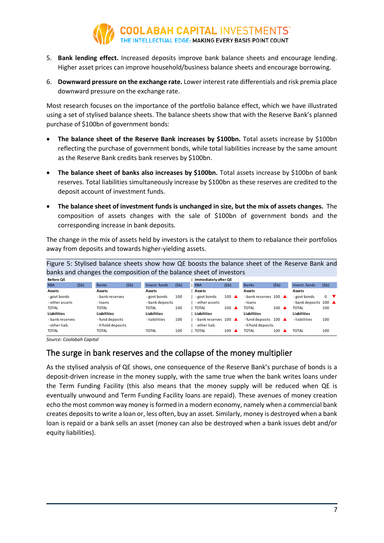

- 5. **Bank lending effect.** Increased deposits improve bank balance sheets and encourage lending. Higher asset prices can improve household/business balance sheets and encourage borrowing.
- 6. **Downward pressure on the exchange rate.** Lower interest rate differentials and risk premia place downward pressure on the exchange rate.

Most research focuses on the importance of the portfolio balance effect, which we have illustrated using a set of stylised balance sheets. The balance sheets show that with the Reserve Bank's planned purchase of \$100bn of government bonds:

- **The balance sheet of the Reserve Bank increases by \$100bn.** Total assets increase by \$100bn reflecting the purchase of government bonds, while total liabilities increase by the same amount as the Reserve Bank credits bank reserves by \$100bn.
- **The balance sheet of banks also increases by \$100bn.** Total assets increase by \$100bn of bank reserves. Total liabilities simultaneously increase by \$100bn as these reserves are credited to the deposit account of investment funds.
- **The balance sheet of investment funds is unchanged in size, but the mix of assets changes.** The composition of assets changes with the sale of \$100bn of government bonds and the corresponding increase in bank deposits.

The change in the mix of assets held by investors is the catalyst to them to rebalance their portfolios away from deposits and towards higher-yielding assets.

|                    |      |                  |      |                    |      | Figure 5: Stylised balance sheets show how QE boosts the balance sheet of the Reserve Bank and |                 |                                |                 |                    |              |
|--------------------|------|------------------|------|--------------------|------|------------------------------------------------------------------------------------------------|-----------------|--------------------------------|-----------------|--------------------|--------------|
|                    |      |                  |      |                    |      | banks and changes the composition of the balance sheet of investors                            |                 |                                |                 |                    |              |
| <b>Before OE</b>   |      |                  |      |                    |      | Immediately after QE                                                                           |                 |                                |                 |                    |              |
| <b>RBA</b>         | (5b) | <b>Banks</b>     | (5b) | Invest, funds      | (5b) | <b>RBA</b>                                                                                     | (5b)            | <b>Banks</b>                   | (5b)            | Invest, funds      | (5b)         |
| Assets             |      | Assets           |      | Assets             |      | Assets                                                                                         |                 | Assets                         |                 | Assets             |              |
| - govt bonds       |      | - bank reserves  |      | - govt bonds       | 100  | - govt bonds                                                                                   | $100 \triangle$ | -bank reserves 100             |                 | - govt bonds       | $\mathbf{0}$ |
| - other assets     |      | -loans           |      | - bank deposits    |      | - other assets                                                                                 |                 | - Ioans                        |                 | -bank deposits 100 |              |
| <b>TOTAL</b>       |      | TOTAL            |      | <b>TOTAL</b>       | 100  | <b>TOTAL</b>                                                                                   | $100 \triangle$ | <b>TOTAL</b>                   | $100 \triangle$ | <b>TOTAL</b>       | 100          |
| <b>Liabilities</b> |      | Liabilities      |      | <b>Liabilities</b> |      | Liabilities                                                                                    |                 | <b>Liabilities</b>             |                 | <b>Liabilities</b> |              |
| - bank reserves    |      | -fund deposits   |      | -liabilities       | 100  | -bank reserves 100                                                                             |                 | -fund deposits $100 \triangle$ |                 | -liabilities       | 100          |
| - other liab.      |      | -h'hold deposits |      |                    |      | - other liab.                                                                                  |                 | - h'hold deposits              |                 |                    |              |
| <b>TOTAL</b>       |      | TOTAL            |      | <b>TOTAL</b>       | 100  | <b>TOTAL</b>                                                                                   | 100             | <b>TOTAL</b>                   | 100             | <b>TOTAL</b>       | 100          |

*Source: Coolabah Capital* 

## The surge in bank reserves and the collapse of the money multiplier

As the stylised analysis of QE shows, one consequence of the Reserve Bank's purchase of bonds is a deposit-driven increase in the money supply, with the same true when the bank writes loans under the Term Funding Facility (this also means that the money supply will be reduced when QE is eventually unwound and Term Funding Facility loans are repaid). These avenues of money creation echo the most common way money is formed in a modern economy, namely when a commercial bank creates deposits to write a loan or, less often, buy an asset. Similarly, money is destroyed when a bank loan is repaid or a bank sells an asset (money can also be destroyed when a bank issues debt and/or equity liabilities).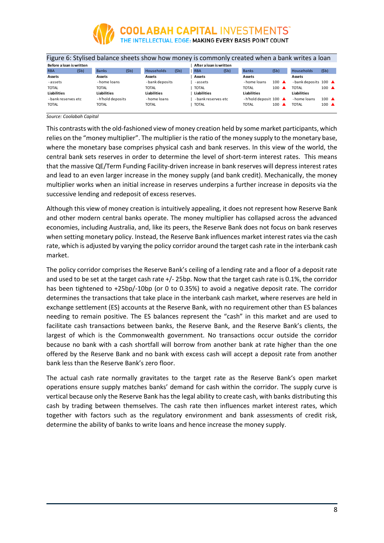

|                          |      |                    |      | Figure 6: Stylised balance sheets show how money is commonly created when a bank writes a loan |      |                         |      |                                      |                 |                    |                 |  |
|--------------------------|------|--------------------|------|------------------------------------------------------------------------------------------------|------|-------------------------|------|--------------------------------------|-----------------|--------------------|-----------------|--|
| Before a loan is written |      |                    |      |                                                                                                |      | After a loan is written |      |                                      |                 |                    |                 |  |
| <b>RBA</b>               | (5b) | <b>Banks</b>       | (5b) | <b>Households</b>                                                                              | (5b) | <b>RBA</b>              | (5b) | <b>Banks</b>                         | (5b)            | Households         | (5b)            |  |
| <b>Assets</b>            |      | Assets             |      | Assets                                                                                         |      | Assets                  |      | Assets                               |                 | Assets             |                 |  |
| -assets                  |      | - home loans       |      | - bank deposits                                                                                |      | -assets                 |      | -home loans                          | $100 \triangle$ | -bank deposits 100 |                 |  |
| <b>TOTAL</b>             |      | TOTAL              |      | TOTAL                                                                                          |      | <b>TOTAL</b>            |      | TOTAL                                | $100 \triangle$ | <b>TOTAL</b>       | $100 \triangle$ |  |
| Liabilities              |      | <b>Liabilities</b> |      | <b>Liabilities</b>                                                                             |      | Liabilities             |      | <b>Liabilities</b>                   |                 | <b>Liabilities</b> |                 |  |
| - bank reserves etc      |      | -h'hold deposits   |      | - home loans                                                                                   |      | -bank reserves etc      |      | -h'hold deposit $100 \blacktriangle$ |                 | - home loans       | $100 \triangle$ |  |
| <b>TOTAL</b>             |      | TOTAL              |      | TOTAL                                                                                          |      | <b>TOTAL</b>            |      | <b>TOTAL</b>                         | 100             | <b>TOTAL</b>       | $100 \triangle$ |  |
|                          |      |                    |      |                                                                                                |      |                         |      |                                      |                 |                    |                 |  |

*Source: Coolabah Capital* 

This contrasts with the old-fashioned view of money creation held by some market participants, which relies on the "money multiplier". The multiplier is the ratio of the money supply to the monetary base, where the monetary base comprises physical cash and bank reserves. In this view of the world, the central bank sets reserves in order to determine the level of short-term interest rates. This means that the massive QE/Term Funding Facility-driven increase in bank reserves will depress interest rates and lead to an even larger increase in the money supply (and bank credit). Mechanically, the money multiplier works when an initial increase in reserves underpins a further increase in deposits via the successive lending and redeposit of excess reserves.

Although this view of money creation is intuitively appealing, it does not represent how Reserve Bank and other modern central banks operate. The money multiplier has collapsed across the advanced economies, including Australia, and, like its peers, the Reserve Bank does not focus on bank reserves when setting monetary policy. Instead, the Reserve Bank influences market interest rates via the cash rate, which is adjusted by varying the policy corridor around the target cash rate in the interbank cash market.

The policy corridor comprises the Reserve Bank's ceiling of a lending rate and a floor of a deposit rate and used to be set at the target cash rate +/- 25bp. Now that the target cash rate is 0.1%, the corridor has been tightened to +25bp/-10bp (or 0 to 0.35%) to avoid a negative deposit rate. The corridor determines the transactions that take place in the interbank cash market, where reserves are held in exchange settlement (ES) accounts at the Reserve Bank, with no requirement other than ES balances needing to remain positive. The ES balances represent the "cash" in this market and are used to facilitate cash transactions between banks, the Reserve Bank, and the Reserve Bank's clients, the largest of which is the Commonwealth government. No transactions occur outside the corridor because no bank with a cash shortfall will borrow from another bank at rate higher than the one offered by the Reserve Bank and no bank with excess cash will accept a deposit rate from another bank less than the Reserve Bank's zero floor.

The actual cash rate normally gravitates to the target rate as the Reserve Bank's open market operations ensure supply matches banks' demand for cash within the corridor. The supply curve is vertical because only the Reserve Bank has the legal ability to create cash, with banks distributing this cash by trading between themselves. The cash rate then influences market interest rates, which together with factors such as the regulatory environment and bank assessments of credit risk, determine the ability of banks to write loans and hence increase the money supply.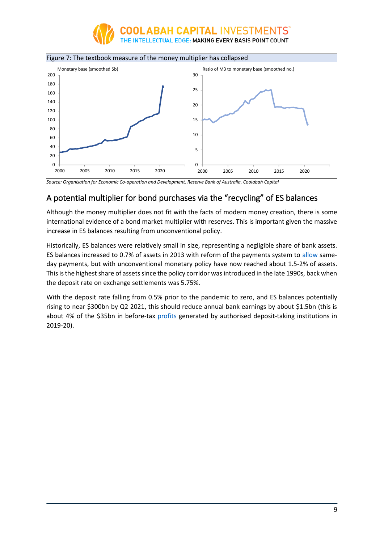





*Source: Organisation for Economic Co-operation and Development, Reserve Bank of Australia, Coolabah Capital* 

## A potential multiplier for bond purchases via the "recycling" of ES balances

Although the money multiplier does not fit with the facts of modern money creation, there is some international evidence of a bond market multiplier with reserves. This is important given the massive increase in ES balances resulting from unconventional policy.

Historically, ES balances were relatively small in size, representing a negligible share of bank assets. ES balances increased to 0.7% of assets in 2013 with reform of the payments system to [allow](https://www.rba.gov.au/speeches/2013/sp-ag-160813.html) sameday payments, but with unconventional monetary policy have now reached about 1.5-2% of assets. This is the highest share of assets since the policy corridor was introduced in the late 1990s, back when the deposit rate on exchange settlements was 5.75%.

With the deposit rate falling from 0.5% prior to the pandemic to zero, and ES balances potentially rising to near \$300bn by Q2 2021, this should reduce annual bank earnings by about \$1.5bn (this is about 4% of the \$35bn in before-tax [profits](https://www.apra.gov.au/sites/default/files/2020-09/Quarterly%20authorised%20deposit-taking%20institution%20performance%20statistics%20June%202020_0.xlsx) generated by authorised deposit-taking institutions in 2019-20).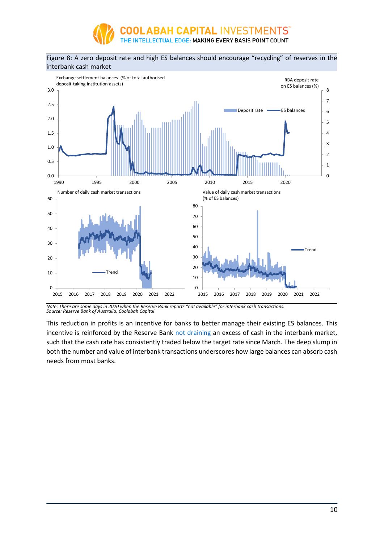

#### Figure 8: A zero deposit rate and high ES balances should encourage "recycling" of reserves in the interbank cash market



*Note: There are some days in 2020 when the Reserve Bank reports "not available" for interbank cash transactions. Source: Reserve Bank of Australia, Coolabah Capital* 

This reduction in profits is an incentive for banks to better manage their existing ES balances. This incentive is reinforced by the Reserve Bank [not draining](https://rba.gov.au/speeches/2020/sp-ag-2020-10-20.html) an excess of cash in the interbank market, such that the cash rate has consistently traded below the target rate since March. The deep slump in both the number and value of interbank transactions underscores how large balances can absorb cash needs from most banks.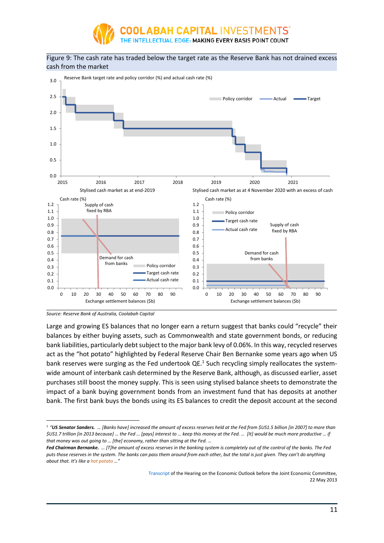

#### Figure 9: The cash rate has traded below the target rate as the Reserve Bank has not drained excess cash from the market



*Source: Reserve Bank of Australia, Coolabah Capital* 

Large and growing ES balances that no longer earn a return suggest that banks could "recycle" their balances by either buying assets, such as Commonwealth and state government bonds, or reducing bank liabilities, particularly debt subject to the major bank levy of 0.06%. In this way, recycled reserves act as the "hot potato" highlighted by Federal Reserve Chair Ben Bernanke some years ago when US bank reserves were surging as the Fed undertook QE.<sup>1</sup> Such recycling simply reallocates the systemwide amount of interbank cash determined by the Reserve Bank, although, as discussed earlier, asset purchases still boost the money supply. This is seen using stylised balance sheets to demonstrate the impact of a bank buying government bonds from an investment fund that has deposits at another bank. The first bank buys the bonds using its ES balances to credit the deposit account at the second

[Transcript](https://www.govinfo.gov/content/pkg/CHRG-113shrg81472/pdf/CHRG-113shrg81472.pdf) of the Hearing on the Economic Outlook before the Joint Economic Committee, 22 May 2013

<sup>1</sup> *"US Senator Sanders. … [Banks have] increased the amount of excess reserves held at the Fed from \$US1.5 billion [in 2007] to more than \$US1.7 trillion [in 2013 because] … the Fed … [pays] interest to … keep this money at the Fed. … [It] would be much more productive … if that money was out going to … [the] economy, rather than sitting at the Fed. …* 

*Fed Chairman Bernanke. … [T]he amount of excess reserves in the banking system is completely out of the control of the banks. The Fed puts those reserves in the system. The banks can pass them around from each other, but the total is just given. They can't do anything about that. It's like a hot potato …"*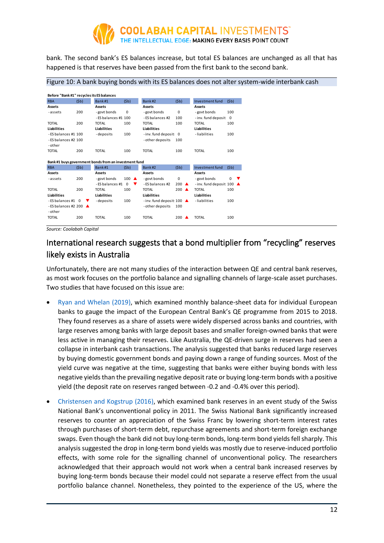

bank. The second bank's ES balances increase, but total ES balances are unchanged as all that has happened is that reserves have been passed from the first bank to the second bank.

#### Figure 10: A bank buying bonds with its ES balances does not alter system-wide interbank cash

|                                  |      | Before "Bank #1" recycles its ES balances             |                 |                                     |          |                        |               |
|----------------------------------|------|-------------------------------------------------------|-----------------|-------------------------------------|----------|------------------------|---------------|
| <b>RBA</b>                       | (5b) | Bank#1                                                | (5b)            | Bank#2                              | (5b)     | Investment fund        | (5b)          |
| Assets                           |      | Assets                                                |                 | Assets                              |          | Assets                 |               |
| -assets                          | 200  | - govt bonds                                          | $\Omega$        | - govt bonds                        | 0        | -govt bonds            | 100           |
|                                  |      | - ES balances #1 100                                  |                 | - ES balances #2                    | 100      | - inv. fund deposit    | $\Omega$      |
| <b>TOTAL</b>                     | 200  | <b>TOTAL</b>                                          | 100             | <b>TOTAL</b>                        | 100      | <b>TOTAL</b>           | 100           |
| <b>Liabilities</b>               |      | <b>Liabilities</b>                                    |                 | <b>Liabilities</b>                  |          | <b>Liabilities</b>     |               |
| $-ES$ balances #1 100            |      | -deposits                                             | 100             | -inv. fund deposit: 0               |          | -liabilities           | 100           |
| - ES balances #2 100             |      |                                                       |                 | - other deposits                    | 100      |                        |               |
| - other                          |      |                                                       |                 |                                     |          |                        |               |
| <b>TOTAL</b>                     | 200  | <b>TOTAL</b>                                          | 100             | <b>TOTAL</b>                        | 100      | <b>TOTAL</b>           | 100           |
|                                  |      |                                                       |                 |                                     |          |                        |               |
|                                  |      |                                                       |                 |                                     |          |                        |               |
|                                  |      | Bank #1 buys government bonds from an investment fund |                 |                                     |          |                        |               |
| <b>RBA</b>                       | (5b) | Bank#1                                                | (Sb)            | Bank#2                              | (5b)     | Investment fund        | (5b)          |
| Assets                           |      | Assets                                                |                 | Assets                              |          | <b>Assets</b>          |               |
| -assets                          | 200  | - govt bonds                                          | $100 \triangle$ | -govt bonds                         | 0        | - govt bonds           | $\Omega$<br>▼ |
|                                  |      | - ES balances #1                                      | $\Omega$<br>v   | - ES balances #2                    | 200<br>▲ | -inv. fund deposit 100 |               |
| <b>TOTAL</b>                     | 200  | <b>TOTAL</b>                                          | 100             | <b>TOTAL</b>                        | 200<br>▲ | <b>TOTAL</b>           | 100           |
| <b>Liabilities</b>               |      | Liabilities                                           |                 | Liabilities                         |          | <b>Liabilities</b>     |               |
| $-ES$ balances #1 $\theta$       |      | -deposits                                             | 100             | -inv. fund deposit: $100 \triangle$ |          | -liabilities           | 100           |
| - ES balances #2 200 $\triangle$ |      |                                                       |                 | - other deposits                    | 100      |                        |               |
| - other                          |      |                                                       |                 |                                     |          |                        |               |

*Source: Coolabah Capital* 

# International research suggests that a bond multiplier from "recycling" reserves likely exists in Australia

Unfortunately, there are not many studies of the interaction between QE and central bank reserves, as most work focuses on the portfolio balance and signalling channels of large-scale asset purchases. Two studies that have focused on this issue are:

- [Ryan and Whelan \(2019\),](https://cepr.org/active/publications/discussion_papers/dp.php?dpno=13499) which examined monthly balance-sheet data for individual European banks to gauge the impact of the European Central Bank's QE programme from 2015 to 2018. They found reserves as a share of assets were widely dispersed across banks and countries, with large reserves among banks with large deposit bases and smaller foreign-owned banks that were less active in managing their reserves. Like Australia, the QE-driven surge in reserves had seen a collapse in interbank cash transactions. The analysis suggested that banks reduced large reserves by buying domestic government bonds and paying down a range of funding sources. Most of the yield curve was negative at the time, suggesting that banks were either buying bonds with less negative yields than the prevailing negative deposit rate or buying long-term bonds with a positive yield (the deposit rate on reserves ranged between -0.2 and -0.4% over this period).
- [Christensen and Kogstrup \(2016\),](https://www.frbsf.org/economic-research/files/wp2014-18.pdf) which examined bank reserves in an event study of the Swiss National Bank's unconventional policy in 2011. The Swiss National Bank significantly increased reserves to counter an appreciation of the Swiss Franc by lowering short-term interest rates through purchases of short-term debt, repurchase agreements and short-term foreign exchange swaps. Even though the bank did not buy long-term bonds, long-term bond yields fell sharply. This analysis suggested the drop in long-term bond yields was mostly due to reserve-induced portfolio effects, with some role for the signalling channel of unconventional policy. The researchers acknowledged that their approach would not work when a central bank increased reserves by buying long-term bonds because their model could not separate a reserve effect from the usual portfolio balance channel. Nonetheless, they pointed to the experience of the US, where the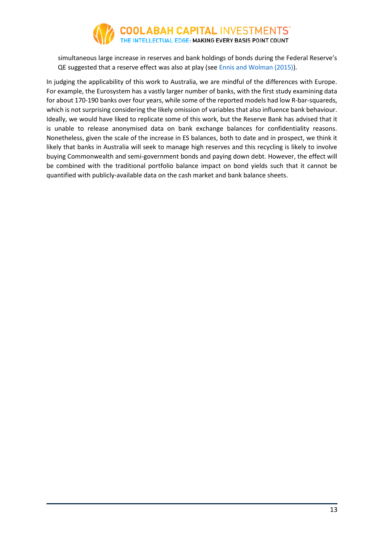

simultaneous large increase in reserves and bank holdings of bonds during the Federal Reserve's QE suggested that a reserve effect was also at play (se[e Ennis and Wolman \(2015\)\)](https://www.ijcb.org/journal/ijcb15q1a8.htm).

In judging the applicability of this work to Australia, we are mindful of the differences with Europe. For example, the Eurosystem has a vastly larger number of banks, with the first study examining data for about 170-190 banks over four years, while some of the reported models had low R-bar-squareds, which is not surprising considering the likely omission of variables that also influence bank behaviour. Ideally, we would have liked to replicate some of this work, but the Reserve Bank has advised that it is unable to release anonymised data on bank exchange balances for confidentiality reasons. Nonetheless, given the scale of the increase in ES balances, both to date and in prospect, we think it likely that banks in Australia will seek to manage high reserves and this recycling is likely to involve buying Commonwealth and semi-government bonds and paying down debt. However, the effect will be combined with the traditional portfolio balance impact on bond yields such that it cannot be quantified with publicly-available data on the cash market and bank balance sheets.